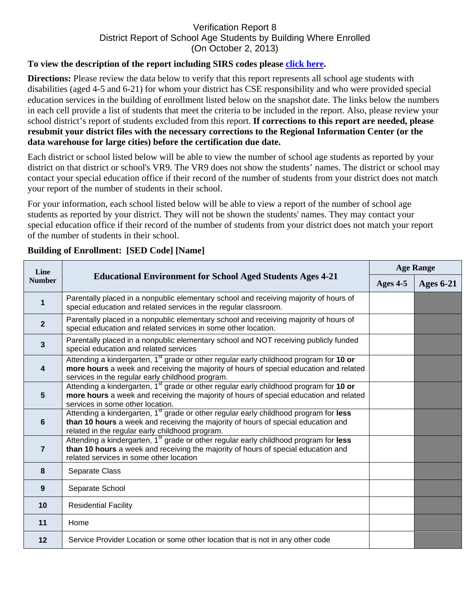## Verification Report 8 District Report of School Age Students by Building Where Enrolled (On October 2, 2013)

## **To view the description of the report including SIRS codes please click here.**

**Directions:** Please review the data below to verify that this report represents all school age students with disabilities (aged 4-5 and 6-21) for whom your district has CSE responsibility and who were provided special education services in the building of enrollment listed below on the snapshot date. The links below the numbers in each cell provide a list of students that meet the criteria to be included in the report. Also, please review your school district's report of students excluded from this report. **If corrections to this report are needed, please resubmit your district files with the necessary corrections to the Regional Information Center (or the data warehouse for large cities) before the certification due date.**

Each district or school listed below will be able to view the number of school age students as reported by your district on that district or school's VR9. The VR9 does not show the students' names. The district or school may contact your special education office if their record of the number of students from your district does not match your report of the number of students in their school.

For your information, each school listed below will be able to view a report of the number of school age students as reported by your district. They will not be shown the students' names. They may contact your special education office if their record of the number of students from your district does not match your report of the number of students in their school.

| Line<br><b>Number</b>   | <b>Educational Environment for School Aged Students Ages 4-21</b>                                                                                                                                                                                | <b>Age Range</b> |                  |
|-------------------------|--------------------------------------------------------------------------------------------------------------------------------------------------------------------------------------------------------------------------------------------------|------------------|------------------|
|                         |                                                                                                                                                                                                                                                  | Ages $4-5$       | <b>Ages 6-21</b> |
| $\mathbf 1$             | Parentally placed in a nonpublic elementary school and receiving majority of hours of<br>special education and related services in the regular classroom.                                                                                        |                  |                  |
| $\mathbf{2}$            | Parentally placed in a nonpublic elementary school and receiving majority of hours of<br>special education and related services in some other location.                                                                                          |                  |                  |
| $\overline{3}$          | Parentally placed in a nonpublic elementary school and NOT receiving publicly funded<br>special education and related services                                                                                                                   |                  |                  |
| $\overline{\mathbf{4}}$ | Attending a kindergarten, 1 <sup>st</sup> grade or other regular early childhood program for 10 or<br>more hours a week and receiving the majority of hours of special education and related<br>services in the regular early childhood program. |                  |                  |
| 5                       | Attending a kindergarten, 1 <sup>st</sup> grade or other regular early childhood program for 10 or<br>more hours a week and receiving the majority of hours of special education and related<br>services in some other location.                 |                  |                  |
| 6                       | Attending a kindergarten, 1 <sup>st</sup> grade or other regular early childhood program for less<br>than 10 hours a week and receiving the majority of hours of special education and<br>related in the regular early childhood program.        |                  |                  |
| $\overline{7}$          | Attending a kindergarten, 1 <sup>st</sup> grade or other regular early childhood program for less<br>than 10 hours a week and receiving the majority of hours of special education and<br>related services in some other location                |                  |                  |
| 8                       | Separate Class                                                                                                                                                                                                                                   |                  |                  |
| 9                       | Separate School                                                                                                                                                                                                                                  |                  |                  |
| 10                      | <b>Residential Facility</b>                                                                                                                                                                                                                      |                  |                  |
| 11                      | Home                                                                                                                                                                                                                                             |                  |                  |
| 12                      | Service Provider Location or some other location that is not in any other code                                                                                                                                                                   |                  |                  |

## **Building of Enrollment: [SED Code] [Name]**